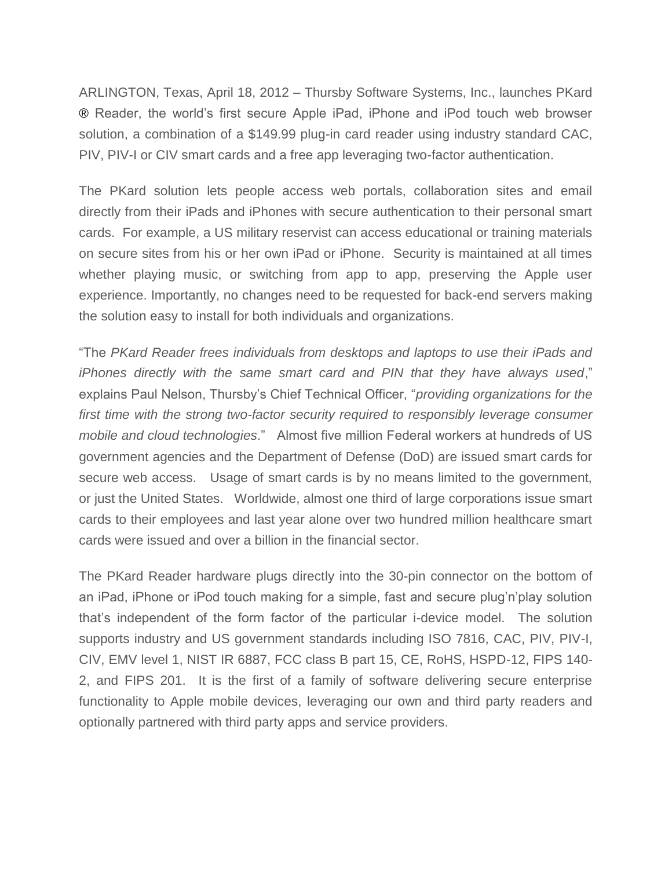ARLINGTON, Texas, April 18, 2012 – Thursby Software Systems, Inc., launches PKard ® Reader, the world's first secure Apple iPad, iPhone and iPod touch web browser solution, a combination of a \$149.99 plug-in card reader using industry standard CAC, PIV, PIV-I or CIV smart cards and a free app leveraging two-factor authentication.

The PKard solution lets people access web portals, collaboration sites and email directly from their iPads and iPhones with secure authentication to their personal smart cards. For example, a US military reservist can access educational or training materials on secure sites from his or her own iPad or iPhone. Security is maintained at all times whether playing music, or switching from app to app, preserving the Apple user experience. Importantly, no changes need to be requested for back-end servers making the solution easy to install for both individuals and organizations.

"The *PKard Reader frees individuals from desktops and laptops to use their iPads and iPhones directly with the same smart card and PIN that they have always used*," explains Paul Nelson, Thursby's Chief Technical Officer, "*providing organizations for the*  first time with the strong two-factor security required to responsibly leverage consumer *mobile and cloud technologies*." Almost five million Federal workers at hundreds of US government agencies and the Department of Defense (DoD) are issued smart cards for secure web access. Usage of smart cards is by no means limited to the government, or just the United States. Worldwide, almost one third of large corporations issue smart cards to their employees and last year alone over two hundred million healthcare smart cards were issued and over a billion in the financial sector.

The PKard Reader hardware plugs directly into the 30-pin connector on the bottom of an iPad, iPhone or iPod touch making for a simple, fast and secure plug'n'play solution that's independent of the form factor of the particular i-device model. The solution supports industry and US government standards including ISO 7816, CAC, PIV, PIV-I, CIV, EMV level 1, NIST IR 6887, FCC class B part 15, CE, RoHS, HSPD-12, FIPS 140- 2, and FIPS 201. It is the first of a family of software delivering secure enterprise functionality to Apple mobile devices, leveraging our own and third party readers and optionally partnered with third party apps and service providers.